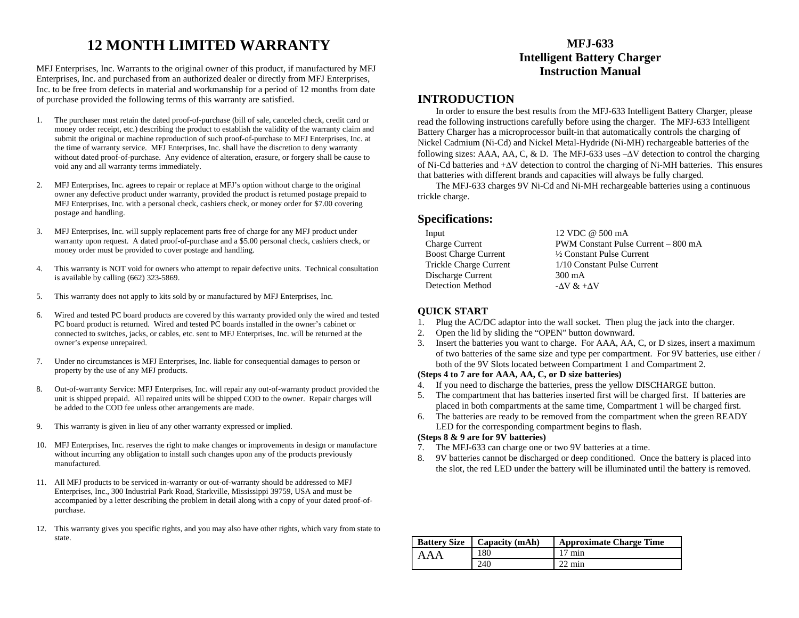# **12 MONTH LIMITED WARRANTY**

MFJ Enterprises, Inc. Warrants to the original owner of this product, if manufactured by MFJ Enterprises, Inc. and purchased from an authorized dealer or directly from MFJ Enterprises, Inc. to be free from defects in material and workmanship for a period of 12 months from date of purchase provided the following terms of this warranty are satisfied.

- 1. The purchaser must retain the dated proof-of-purchase (bill of sale, canceled check, credit card or money order receipt, etc.) describing the product to establish the validity of the warranty claim and submit the original or machine reproduction of such proof-of-purchase to MFJ Enterprises, Inc. at the time of warranty service. MFJ Enterprises, Inc. shall have the discretion to deny warranty without dated proof-of-purchase. Any evidence of alteration, erasure, or forgery shall be cause to void any and all warranty terms immediately.
- 2. MFJ Enterprises, Inc. agrees to repair or replace at MFJ's option without charge to the original owner any defective product under warranty, provided the product is returned postage prepaid to MFJ Enterprises, Inc. with a personal check, cashiers check, or money order for \$7.00 covering postage and handling.
- 3. MFJ Enterprises, Inc. will supply replacement parts free of charge for any MFJ product under warranty upon request. A dated proof-of-purchase and a \$5.00 personal check, cashiers check, or money order must be provided to cover postage and handling.
- 4. This warranty is NOT void for owners who attempt to repair defective units. Technical consultation is available by calling (662) 323-5869.
- 5. This warranty does not apply to kits sold by or manufactured by MFJ Enterprises, Inc.
- 6. Wired and tested PC board products are covered by this warranty provided only the wired and tested PC board product is returned. Wired and tested PC boards installed in the owner's cabinet or connected to switches, jacks, or cables, etc. sent to MFJ Enterprises, Inc. will be returned at the owner's expense unrepaired.
- 7. Under no circumstances is MFJ Enterprises, Inc. liable for consequential damages to person or property by the use of any MFJ products.
- 8. Out-of-warranty Service: MFJ Enterprises, Inc. will repair any out-of-warranty product provided the unit is shipped prepaid. All repaired units will be shipped COD to the owner. Repair charges will be added to the COD fee unless other arrangements are made.
- 9. This warranty is given in lieu of any other warranty expressed or implied.
- 10. MFJ Enterprises, Inc. reserves the right to make changes or improvements in design or manufacture without incurring any obligation to install such changes upon any of the products previously manufactured.
- 11. All MFJ products to be serviced in-warranty or out-of-warranty should be addressed to MFJ Enterprises, Inc., 300 Industrial Park Road, Starkville, Mississippi 39759, USA and must be accompanied by a letter describing the problem in detail along with a copy of your dated proof-ofpurchase.
- 12. This warranty gives you specific rights, and you may also have other rights, which vary from state to state.

# **MFJ-633Intelligent Battery Charger Instruction Manual**

# **INTRODUCTION**

In order to ensure the best results from the MFJ-633 Intelligent Battery Charger, please read the following instructions carefully before using the charger. The MFJ-633 Intelligent Battery Charger has a microprocessor built-in that automatically controls the charging of Nickel Cadmium (Ni-Cd) and Nickel Metal-Hydride (Ni-MH) rechargeable batteries of the following sizes: AAA, AA, C, & D. The MFJ-633 uses  $-\Delta V$  detection to control the charging of Ni-Cd batteries and + ∆V detection to control the charging of Ni-MH batteries. This ensures that batteries with different brands and capacities will always be fully charged.

The MFJ-633 charges 9V Ni-Cd and Ni-MH rechargeable batteries using a continuous trickle charge.

## **Specifications:**

| Input                       | 12 VDC @ 500 mA                     |
|-----------------------------|-------------------------------------|
| Charge Current              | PWM Constant Pulse Current – 800 mA |
| <b>Boost Charge Current</b> | 1/2 Constant Pulse Current          |
| Trickle Charge Current      | 1/10 Constant Pulse Current         |
| Discharge Current           | 300 mA                              |
| Detection Method            | - $\Delta V \& +\Delta V$           |
|                             |                                     |

### **QUICK START**

- 1. Plug the AC/DC adaptor into the wall socket. Then plug the jack into the charger.
- 2. Open the lid by sliding the "OPEN" button downward.
- 3. Insert the batteries you want to charge. For AAA, AA, C, or D sizes, insert a maximum of two batteries of the same size and type per compartment. For 9V batteries, use either / both of the 9V Slots located between Compartment 1 and Compartment 2.

#### **(Steps 4 to 7 are for AAA, AA, C, or D size batteries)**

- 4. If you need to discharge the batteries, press the yellow DISCHARGE button.
- 5. The compartment that has batteries inserted first will be charged first. If batteries are placed in both compartments at the same time, Compartment 1 will be charged first.
- 6. The batteries are ready to be removed from the compartment when the green READY LED for the corresponding compartment begins to flash.

#### **(Steps 8 & 9 are for 9V batteries)**

- 7. The MFJ-633 can charge one or two 9V batteries at a time.
- 8. 9V batteries cannot be discharged or deep conditioned. Once the battery is placed into the slot, the red LED under the battery will be illuminated until the battery is removed.

| <b>Battery Size</b> | $\vert$ Capacity (mAh) | <b>Approximate Charge Time</b> |
|---------------------|------------------------|--------------------------------|
| AAA                 | 180                    | $17 \text{ min}$               |
|                     | 240                    | $22 \text{ min}$               |